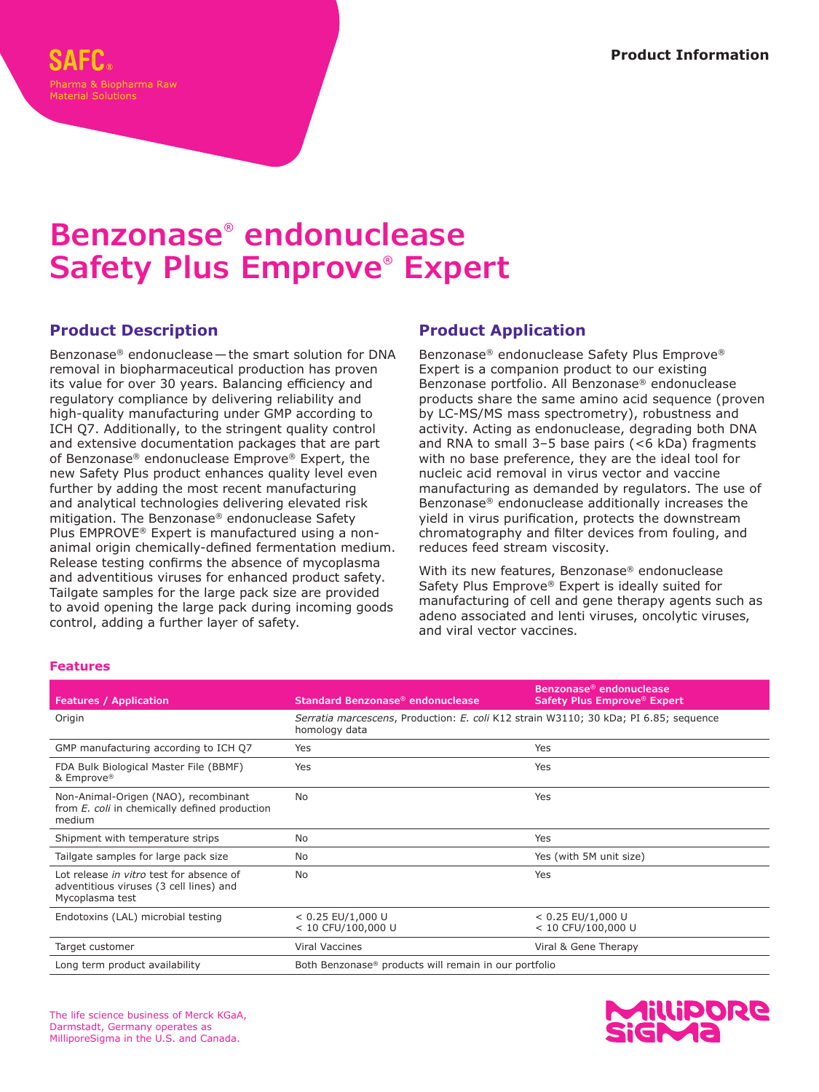# **Benzonase® endonuclease Safety Plus Emprove® Expert**

#### **Product Description**

Benzonase® endonuclease—the smart solution for DNA removal in biopharmaceutical production has proven its value for over 30 years. Balancing efficiency and regulatory compliance by delivering reliability and high-quality manufacturing under GMP according to ICH Q7. Additionally, to the stringent quality control and extensive documentation packages that are part of Benzonase® endonuclease Emprove® Expert, the new Safety Plus product enhances quality level even further by adding the most recent manufacturing and analytical technologies delivering elevated risk mitigation. The Benzonase® endonuclease Safety Plus EMPROVE® Expert is manufactured using a nonanimal origin chemically-defined fermentation medium. Release testing confirms the absence of mycoplasma and adventitious viruses for enhanced product safety. Tailgate samples for the large pack size are provided to avoid opening the large pack during incoming goods control, adding a further layer of safety.

### **Product Application**

Benzonase® endonuclease Safety Plus Emprove® Expert is a companion product to our existing Benzonase portfolio. All Benzonase® endonuclease products share the same amino acid sequence (proven by LC-MS/MS mass spectrometry), robustness and activity. Acting as endonuclease, degrading both DNA and RNA to small 3–5 base pairs (<6 kDa) fragments with no base preference, they are the ideal tool for nucleic acid removal in virus vector and vaccine manufacturing as demanded by regulators. The use of Benzonase® endonuclease additionally increases the yield in virus purification, protects the downstream chromatography and filter devices from fouling, and reduces feed stream viscosity.

With its new features, Benzonase® endonuclease Safety Plus Emprove® Expert is ideally suited for manufacturing of cell and gene therapy agents such as adeno associated and lenti viruses, oncolytic viruses, and viral vector vaccines.

| <b>Features / Application</b>                                                                          | Standard Benzonase <sup>®</sup> endonuclease                                                          | Benzonase® endonuclease<br>Safety Plus Emprove® Expert |
|--------------------------------------------------------------------------------------------------------|-------------------------------------------------------------------------------------------------------|--------------------------------------------------------|
| Origin                                                                                                 | Serratia marcescens, Production: E. coli K12 strain W3110; 30 kDa; PI 6.85; sequence<br>homology data |                                                        |
| GMP manufacturing according to ICH Q7                                                                  | Yes                                                                                                   | Yes                                                    |
| FDA Bulk Biological Master File (BBMF)<br>& Emprove®                                                   | Yes                                                                                                   | Yes                                                    |
| Non-Animal-Origen (NAO), recombinant<br>from E. coli in chemically defined production<br>medium        | <b>No</b>                                                                                             | Yes                                                    |
| Shipment with temperature strips                                                                       | <b>No</b>                                                                                             | Yes                                                    |
| Tailgate samples for large pack size                                                                   | <b>No</b>                                                                                             | Yes (with 5M unit size)                                |
| Lot release in vitro test for absence of<br>adventitious viruses (3 cell lines) and<br>Mycoplasma test | No.                                                                                                   | Yes                                                    |
| Endotoxins (LAL) microbial testing                                                                     | $< 0.25$ EU/1,000 U<br>$< 10$ CFU/100,000 U                                                           | $< 0.25$ EU/1,000 U<br>< 10 CFU/100,000 U              |
| Target customer                                                                                        | <b>Viral Vaccines</b>                                                                                 | Viral & Gene Therapy                                   |
| Long term product availability                                                                         | Both Benzonase <sup>®</sup> products will remain in our portfolio                                     |                                                        |

#### **Features**